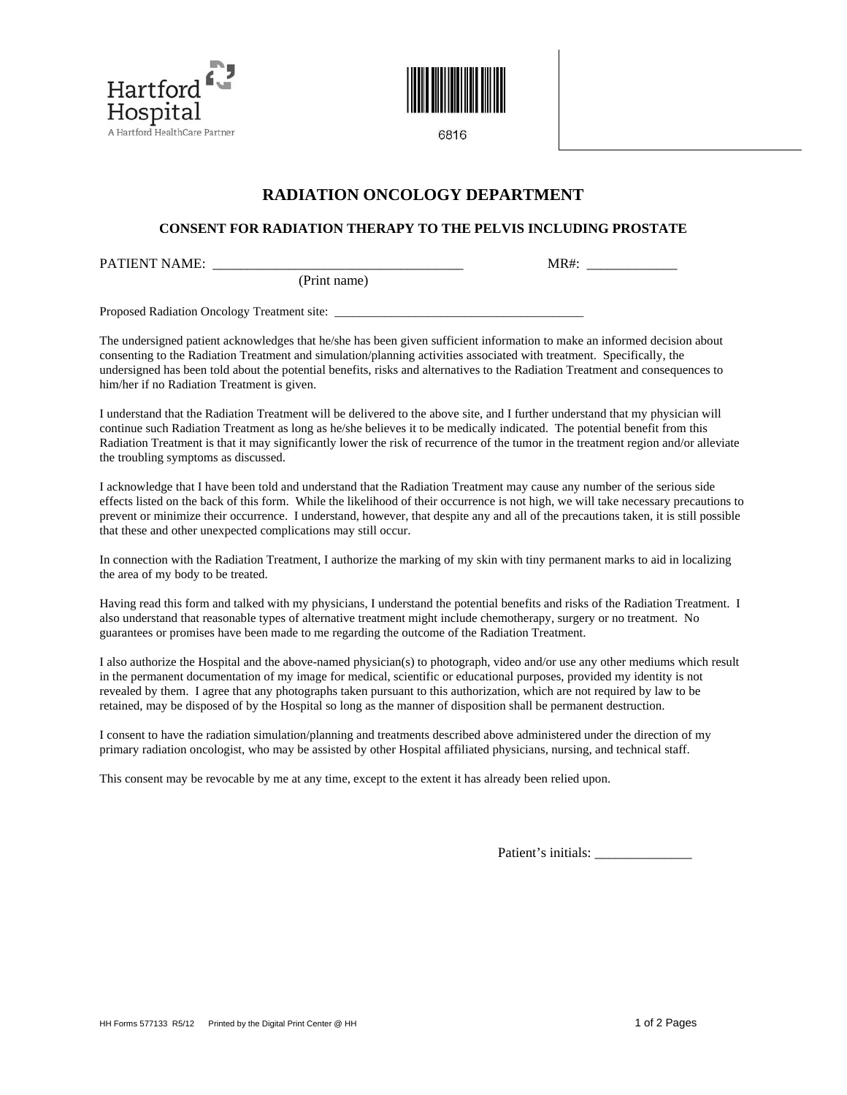



6816

# **RADIATION ONCOLOGY DEPARTMENT**

## **CONSENT FOR RADIATION THERAPY TO THE PELVIS INCLUDING PROSTATE**

PATIENT NAME: \_\_\_\_\_\_\_\_\_\_\_\_\_\_\_\_\_\_\_\_\_\_\_\_\_\_\_\_\_\_\_\_\_\_\_\_ MR#: \_\_\_\_\_\_\_\_\_\_\_\_\_

(Print name)

Proposed Radiation Oncology Treatment site:

The undersigned patient acknowledges that he/she has been given sufficient information to make an informed decision about consenting to the Radiation Treatment and simulation/planning activities associated with treatment. Specifically, the undersigned has been told about the potential benefits, risks and alternatives to the Radiation Treatment and consequences to him/her if no Radiation Treatment is given.

I understand that the Radiation Treatment will be delivered to the above site, and I further understand that my physician will continue such Radiation Treatment as long as he/she believes it to be medically indicated. The potential benefit from this Radiation Treatment is that it may significantly lower the risk of recurrence of the tumor in the treatment region and/or alleviate the troubling symptoms as discussed.

I acknowledge that I have been told and understand that the Radiation Treatment may cause any number of the serious side effects listed on the back of this form. While the likelihood of their occurrence is not high, we will take necessary precautions to prevent or minimize their occurrence. I understand, however, that despite any and all of the precautions taken, it is still possible that these and other unexpected complications may still occur.

In connection with the Radiation Treatment, I authorize the marking of my skin with tiny permanent marks to aid in localizing the area of my body to be treated.

Having read this form and talked with my physicians, I understand the potential benefits and risks of the Radiation Treatment. I also understand that reasonable types of alternative treatment might include chemotherapy, surgery or no treatment. No guarantees or promises have been made to me regarding the outcome of the Radiation Treatment.

I also authorize the Hospital and the above-named physician(s) to photograph, video and/or use any other mediums which result in the permanent documentation of my image for medical, scientific or educational purposes, provided my identity is not revealed by them. I agree that any photographs taken pursuant to this authorization, which are not required by law to be retained, may be disposed of by the Hospital so long as the manner of disposition shall be permanent destruction.

I consent to have the radiation simulation/planning and treatments described above administered under the direction of my primary radiation oncologist, who may be assisted by other Hospital affiliated physicians, nursing, and technical staff.

This consent may be revocable by me at any time, except to the extent it has already been relied upon.

Patient's initials: